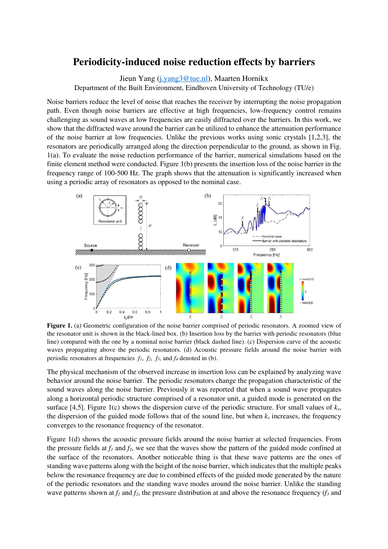## **Periodicity-induced noise reduction effects by barriers**

Jieun Yang (j.yang3@tue.nl), Maarten Hornikx

Department of the Built Environment, Eindhoven University of Technology (TU/e)

Noise barriers reduce the level of noise that reaches the receiver by interrupting the noise propagation path. Even though noise barriers are effective at high frequencies, low-frequency control remains challenging as sound waves at low frequencies are easily diffracted over the barriers. In this work, we show that the diffracted wave around the barrier can be utilized to enhance the attenuation performance of the noise barrier at low frequencies. Unlike the previous works using sonic crystals [1,2,3], the resonators are periodically arranged along the direction perpendicular to the ground, as shown in Fig. 1(a). To evaluate the noise reduction performance of the barrier, numerical simulations based on the finite element method were conducted. Figure 1(b) presents the insertion loss of the noise barrier in the frequency range of 100-500 Hz. The graph shows that the attenuation is significantly increased when using a periodic array of resonators as opposed to the nominal case.



**Figure 1.** (a) Geometric configuration of the noise barrier comprised of periodic resonators. A zoomed view of the resonator unit is shown in the black-lined box. (b) Insertion loss by the barrier with periodic resonators (blue line) compared with the one by a nominal noise barrier (black dashed line). (c) Dispersion curve of the acoustic waves propagating above the periodic resonators. (d) Acoustic pressure fields around the noise barrier with periodic resonators at frequencies  $f_1$ ,  $f_2$ ,  $f_3$ , and  $f_4$  denoted in (b).

The physical mechanism of the observed increase in insertion loss can be explained by analyzing wave behavior around the noise barrier. The periodic resonators change the propagation characteristic of the sound waves along the noise barrier. Previously it was reported that when a sound wave propagates along a horizontal periodic structure comprised of a resonator unit, a guided mode is generated on the surface [4,5]. Figure 1(c) shows the dispersion curve of the periodic structure. For small values of  $k<sub>x</sub>$ , the dispersion of the guided mode follows that of the sound line, but when  $k_x$  increases, the frequency converges to the resonance frequency of the resonator.

Figure 1(d) shows the acoustic pressure fields around the noise barrier at selected frequencies. From the pressure fields at  $f_l$  and  $f_2$ , we see that the waves show the pattern of the guided mode confined at the surface of the resonators. Another noticeable thing is that these wave patterns are the ones of standing wave patterns along with the height of the noise barrier, which indicates that the multiple peaks below the resonance frequency are due to combined effects of the guided mode generated by the nature of the periodic resonators and the standing wave modes around the noise barrier. Unlike the standing wave patterns shown at  $f_1$  and  $f_2$ , the pressure distribution at and above the resonance frequency ( $f_3$  and